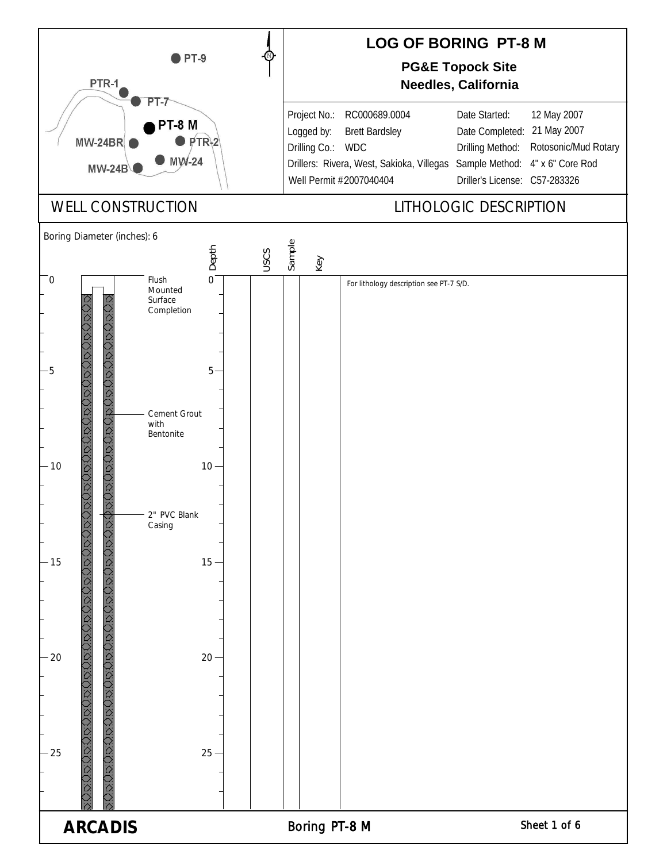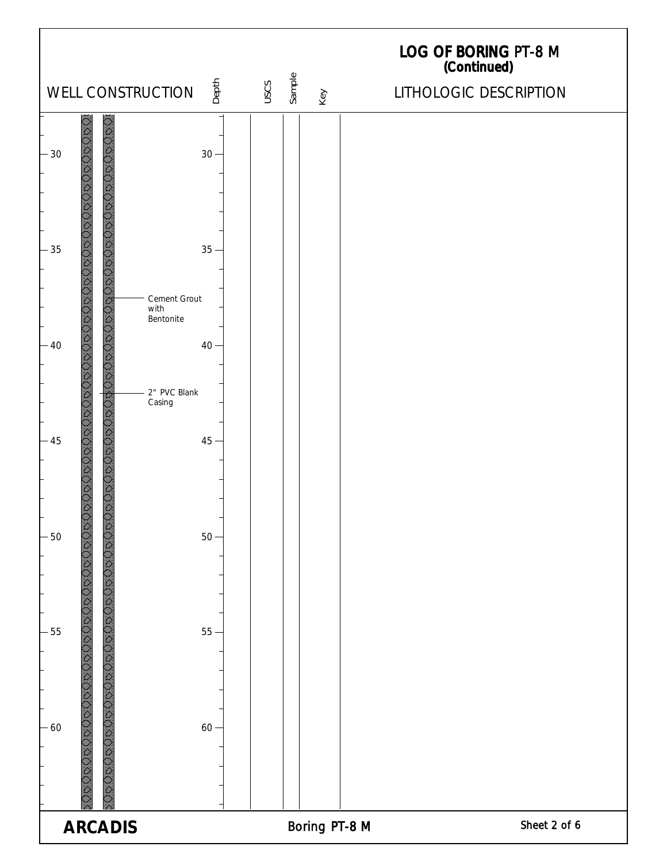| WELL CONSTRUCTION                                                                                                                                       | Depth  | Sample<br>USCS |     | LOG OF BORING PT-8 M<br>(Continued)<br>LITHOLOGIC DESCRIPTION |
|---------------------------------------------------------------------------------------------------------------------------------------------------------|--------|----------------|-----|---------------------------------------------------------------|
|                                                                                                                                                         |        |                | Key |                                                               |
| $-30$                                                                                                                                                   | $30 -$ |                |     |                                                               |
| 0800808080080808080808080808080<br>D<br>D<br>D<br>D<br>D<br>D<br>D<br>D<br>D<br>D<br>D<br>D<br>D<br>D<br>D<br>D<br>D<br>$\Box$<br>$-35$<br>Cement Grout | $35 -$ |                |     |                                                               |
| with<br>Bentonite<br>$-40$<br>2" PVC Blank                                                                                                              | $40 -$ |                |     |                                                               |
| <b>DAOROMONOSCAND</b><br>Casing<br>JRUR<br>$-45$                                                                                                        | $45 -$ |                |     |                                                               |
| БŎ<br>С<br>$-50$                                                                                                                                        | $50 -$ |                |     |                                                               |
| CCCC<br>$-55$                                                                                                                                           | $55-$  |                |     |                                                               |
| <u> 18080808080808080808080808080</u><br>ORG<br>$-60$                                                                                                   | $60 -$ |                |     |                                                               |
| <b>ARCADIS</b>                                                                                                                                          |        |                |     | Sheet 2 of 6<br>Boring PT-8 M                                 |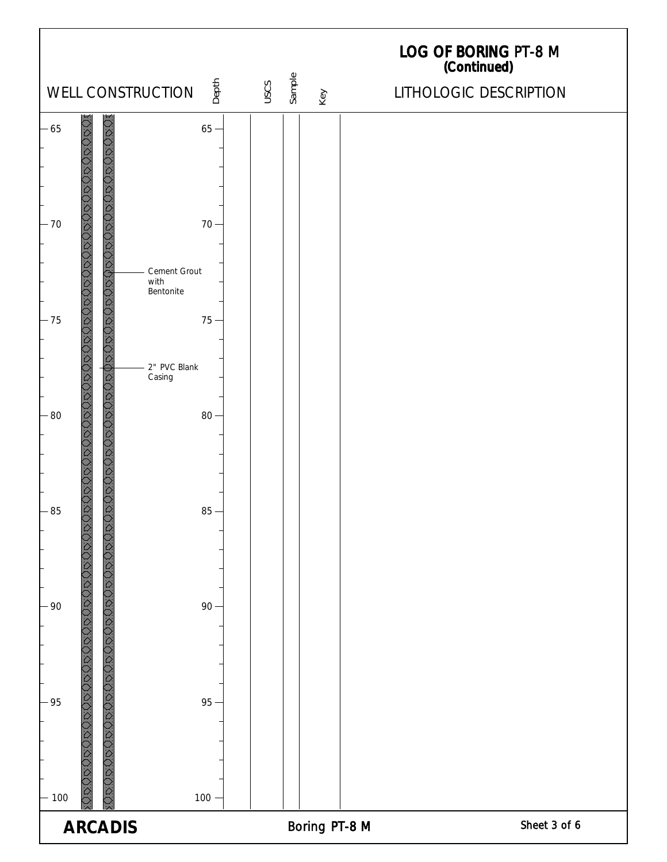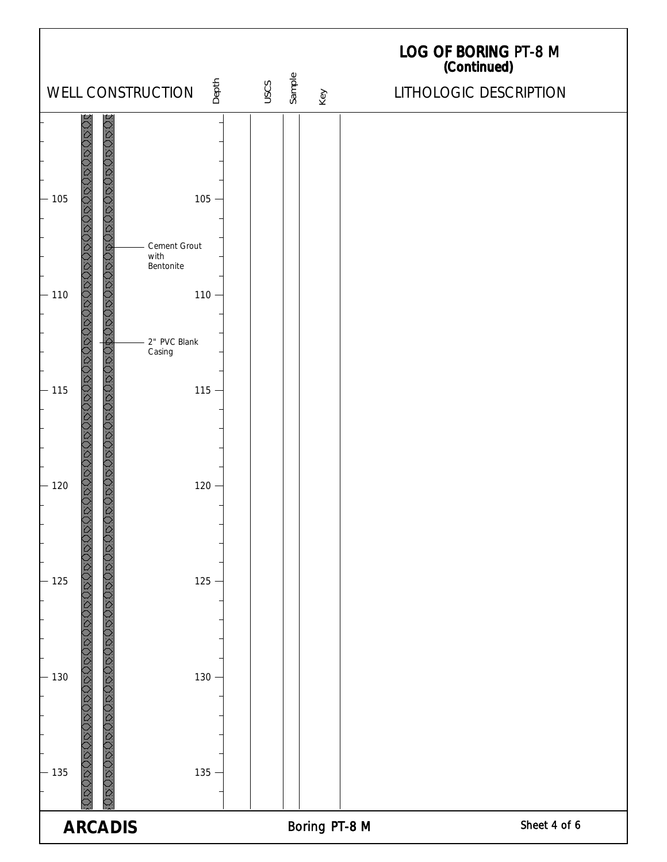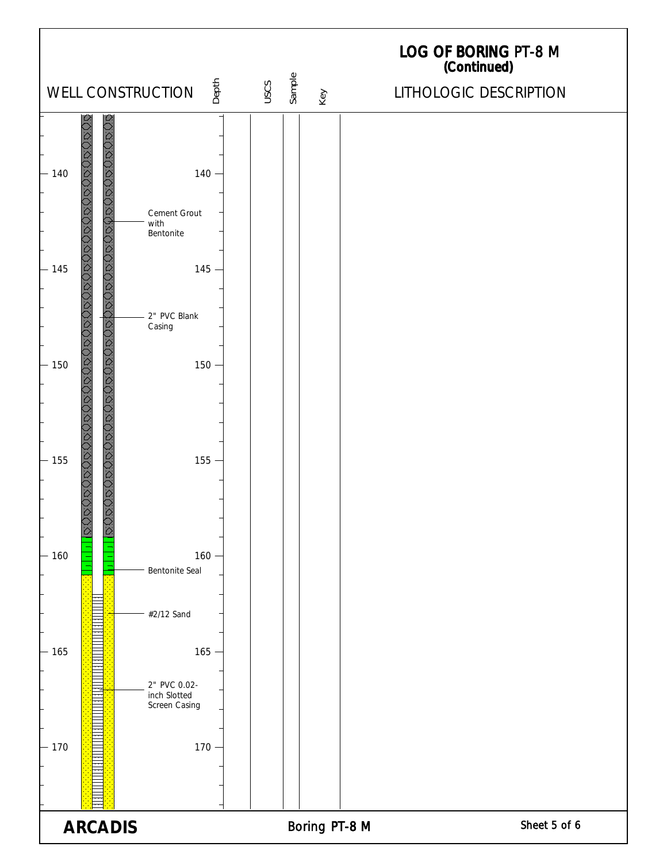